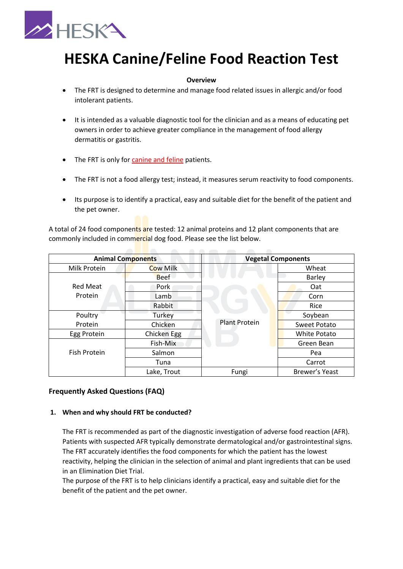

# **HESKA Canine/Feline Food Reaction Test**

#### **Overview**

- The FRT is designed to determine and manage food related issues in allergic and/or food intolerant patients.
- It is intended as a valuable diagnostic tool for the clinician and as a means of educating pet owners in order to achieve greater compliance in the management of food allergy dermatitis or gastritis.
- The FRT is only for canine and feline patients.
- The FRT is not a food allergy test; instead, it measures serum reactivity to food components.
- Its purpose is to identify a practical, easy and suitable diet for the benefit of the patient and the pet owner.

A total of 24 food components are tested: 12 animal proteins and 12 plant components that are commonly included in commercial dog food. Please see the list below.

| <b>Animal Components</b>   |                 | <b>Vegetal Components</b> |                     |
|----------------------------|-----------------|---------------------------|---------------------|
| Milk Protein               | <b>Cow Milk</b> |                           | Wheat               |
|                            | <b>Beef</b>     |                           | <b>Barley</b>       |
| <b>Red Meat</b><br>Protein | Pork            |                           | Oat                 |
|                            | Lamb            |                           | Corn                |
|                            | Rabbit          |                           | Rice                |
| Poultry                    | Turkey          | <b>Plant Protein</b>      | Soybean             |
| Protein                    | Chicken         |                           | <b>Sweet Potato</b> |
| Egg Protein                | Chicken Egg     |                           | White Potato        |
| <b>Fish Protein</b>        | Fish-Mix        |                           | Green Bean          |
|                            | Salmon          |                           | Pea                 |
|                            | Tuna            |                           | Carrot              |
|                            | Lake, Trout     | Fungi                     | Brewer's Yeast      |

# **Frequently Asked Questions (FAQ)**

#### **1. When and why should FRT be conducted?**

The FRT is recommended as part of the diagnostic investigation of adverse food reaction (AFR). Patients with suspected AFR typically demonstrate dermatological and/or gastrointestinal signs. The FRT accurately identifies the food components for which the patient has the lowest reactivity, helping the clinician in the selection of animal and plant ingredients that can be used in an Elimination Diet Trial.

The purpose of the FRT is to help clinicians identify a practical, easy and suitable diet for the benefit of the patient and the pet owner.